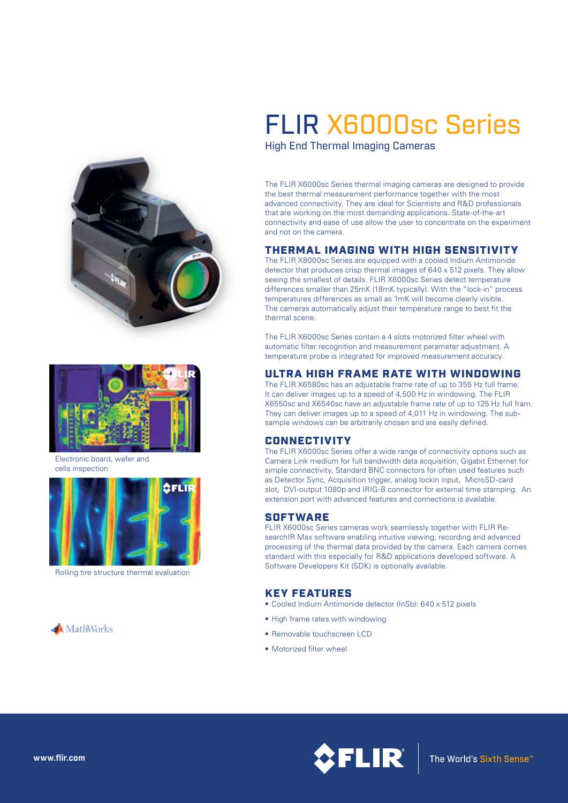



Electronic board, wafer and cells inspection



Rolling tire structure thermal evaluation



# FLIR X6000sc Series

High End Thermal Imaging Cameras

The FLIR X6000sc Series thermal imaging cameras are designed to provide the best thermal measurement performance together with the most advanced connectivity. They are ideal for Scientists and R&D professionals that are working on the most demanding applications. State-of-the-art connectivity and ease of use allow the user to concentrate on the experiment and not on the camera.

# THERMAL IMAGING WITH HIGH SENSITIVITY

The FLIR X8000sc Series are equipped with a cooled Indium Antimonide detector that produces crisp thermal images of 640 x 512 pixels. They allow seeing the smallest of details. FLIR X6000sc Series detect temperature differences smaller than 25mK (18mK typically). With the "lock-in" process temperatures differences as small as 1mK will become clearly visible. The cameras automatically adjust their temperature range to best fit the thermal scene.

The FLIR X6000sc Series contain a 4 slots motorized filter wheel with automatic filter recognition and measurement parameter adjustment. A temperature probe is integrated for improved measurement accuracy.

## ULTRA HIGH FRAME RATE WITH WINDOWING

The FLIR X6580sc has an adjustable frame rate of up to 355 Hz full frame. It can deliver images up to a speed of 4,500 Hz in windowing. The FLIR X6550sc and X6540sc have an adjustable frame rate of up to 125 Hz full fram. They can deliver images up to a speed of 4,011 Hz in windowing. The subsample windows can be arbitrarily chosen and are easily defined.

### **CONNECTIVITY**

The FLIR X6000sc Series offer a wide range of connectivity options such as Camera Link medium for full bandwidth data acquisition, Gigabit Ethernet for simple connectivity, Standard BNC connectors for often used features such as Detector Sync, Acquisition trigger, analog lockin input, MicroSD-card slot. DVI-output 1080p and IRIG-B connector for external time stamping. An extension port with advanced features and connections is available.

### **SOFTWARE**

FLIR X6000sc Series cameras work seamlessly together with FLIR ResearchIR Max software enabling intuitive viewing, recording and advanced processing of the thermal data provided by the camera. Each camera comes standard with this especially for R&D applications developed software. A Software Developers Kit (SDK) is optionally available.

## KEY FEATURES

- Cooled Indium Antimonide detector (InSb): 640 x 512 pixels
- High frame rates with windowing
- Removable touchscreen LCD
- Motorized filter wheel